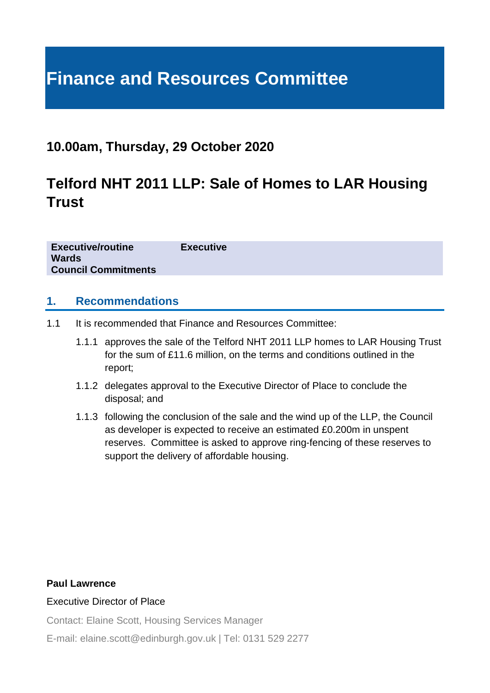# **Finance and Resources Committee**

### **10.00am, Thursday, 29 October 2020**

## **Telford NHT 2011 LLP: Sale of Homes to LAR Housing Trust**

**Executive/routine Executive Wards Council Commitments**

#### **1. Recommendations**

- 1.1 It is recommended that Finance and Resources Committee:
	- 1.1.1 approves the sale of the Telford NHT 2011 LLP homes to LAR Housing Trust for the sum of £11.6 million, on the terms and conditions outlined in the report;
	- 1.1.2 delegates approval to the Executive Director of Place to conclude the disposal; and
	- 1.1.3 following the conclusion of the sale and the wind up of the LLP, the Council as developer is expected to receive an estimated £0.200m in unspent reserves. Committee is asked to approve ring-fencing of these reserves to support the delivery of affordable housing.

#### **Paul Lawrence**

#### Executive Director of Place

Contact: Elaine Scott, Housing Services Manager

E-mail: elaine.scott@edinburgh.gov.uk | Tel: 0131 529 2277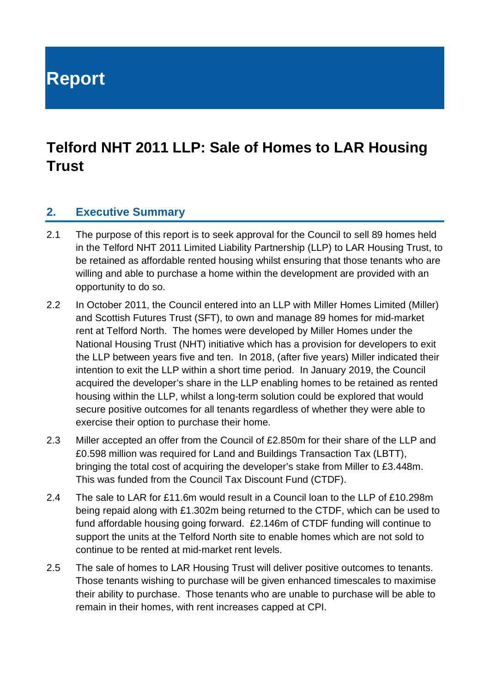**Report**

# **Telford NHT 2011 LLP: Sale of Homes to LAR Housing Trust**

#### **2. Executive Summary**

- 2.1 The purpose of this report is to seek approval for the Council to sell 89 homes held in the Telford NHT 2011 Limited Liability Partnership (LLP) to LAR Housing Trust, to be retained as affordable rented housing whilst ensuring that those tenants who are willing and able to purchase a home within the development are provided with an opportunity to do so.
- 2.2 In October 2011, the Council entered into an LLP with Miller Homes Limited (Miller) and Scottish Futures Trust (SFT), to own and manage 89 homes for mid-market rent at Telford North. The homes were developed by Miller Homes under the National Housing Trust (NHT) initiative which has a provision for developers to exit the LLP between years five and ten. In 2018, (after five years) Miller indicated their intention to exit the LLP within a short time period. In January 2019, the Council acquired the developer's share in the LLP enabling homes to be retained as rented housing within the LLP, whilst a long-term solution could be explored that would secure positive outcomes for all tenants regardless of whether they were able to exercise their option to purchase their home.
- 2.3 Miller accepted an offer from the Council of £2.850m for their share of the LLP and £0.598 million was required for Land and Buildings Transaction Tax (LBTT), bringing the total cost of acquiring the developer's stake from Miller to £3.448m. This was funded from the Council Tax Discount Fund (CTDF).
- 2.4 The sale to LAR for £11.6m would result in a Council loan to the LLP of £10.298m being repaid along with £1.302m being returned to the CTDF, which can be used to fund affordable housing going forward. £2.146m of CTDF funding will continue to support the units at the Telford North site to enable homes which are not sold to continue to be rented at mid-market rent levels.
- 2.5 The sale of homes to LAR Housing Trust will deliver positive outcomes to tenants. Those tenants wishing to purchase will be given enhanced timescales to maximise their ability to purchase. Those tenants who are unable to purchase will be able to remain in their homes, with rent increases capped at CPI.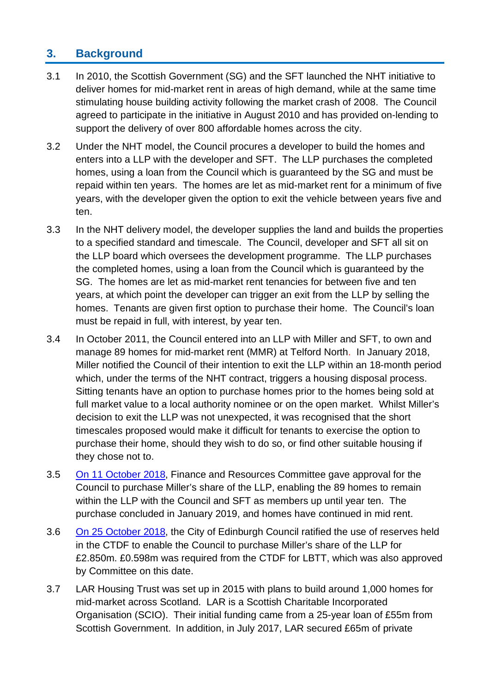#### **3. Background**

- 3.1 In 2010, the Scottish Government (SG) and the SFT launched the NHT initiative to deliver homes for mid-market rent in areas of high demand, while at the same time stimulating house building activity following the market crash of 2008. The Council agreed to participate in the initiative in August 2010 and has provided on-lending to support the delivery of over 800 affordable homes across the city.
- 3.2 Under the NHT model, the Council procures a developer to build the homes and enters into a LLP with the developer and SFT. The LLP purchases the completed homes, using a loan from the Council which is guaranteed by the SG and must be repaid within ten years. The homes are let as mid-market rent for a minimum of five years, with the developer given the option to exit the vehicle between years five and ten.
- 3.3 In the NHT delivery model, the developer supplies the land and builds the properties to a specified standard and timescale. The Council, developer and SFT all sit on the LLP board which oversees the development programme. The LLP purchases the completed homes, using a loan from the Council which is guaranteed by the SG. The homes are let as mid-market rent tenancies for between five and ten years, at which point the developer can trigger an exit from the LLP by selling the homes. Tenants are given first option to purchase their home. The Council's loan must be repaid in full, with interest, by year ten.
- 3.4 In October 2011, the Council entered into an LLP with Miller and SFT, to own and manage 89 homes for mid-market rent (MMR) at Telford North. In January 2018, Miller notified the Council of their intention to exit the LLP within an 18-month period which, under the terms of the NHT contract, triggers a housing disposal process. Sitting tenants have an option to purchase homes prior to the homes being sold at full market value to a local authority nominee or on the open market. Whilst Miller's decision to exit the LLP was not unexpected, it was recognised that the short timescales proposed would make it difficult for tenants to exercise the option to purchase their home, should they wish to do so, or find other suitable housing if they chose not to.
- 3.5 [On 11 October 2018,](https://democracy.edinburgh.gov.uk/CeListDocuments.aspx?CommitteeId=140&MeetingId=2309&DF=11%2f10%2f2018&Ver=2) Finance and Resources Committee gave approval for the Council to purchase Miller's share of the LLP, enabling the 89 homes to remain within the LLP with the Council and SFT as members up until year ten. The purchase concluded in January 2019, and homes have continued in mid rent.
- 3.6 [On 25 October 2018,](https://democracy.edinburgh.gov.uk/CeListDocuments.aspx?CommitteeId=150&MeetingId=1019&DF=25%2f10%2f2018&Ver=2) the City of Edinburgh Council ratified the use of reserves held in the CTDF to enable the Council to purchase Miller's share of the LLP for £2.850m. £0.598m was required from the CTDF for LBTT, which was also approved by Committee on this date.
- 3.7 LAR Housing Trust was set up in 2015 with plans to build around 1,000 homes for mid-market across Scotland. LAR is a Scottish Charitable Incorporated Organisation (SCIO). Their initial funding came from a 25-year loan of £55m from Scottish Government. In addition, in July 2017, LAR secured £65m of private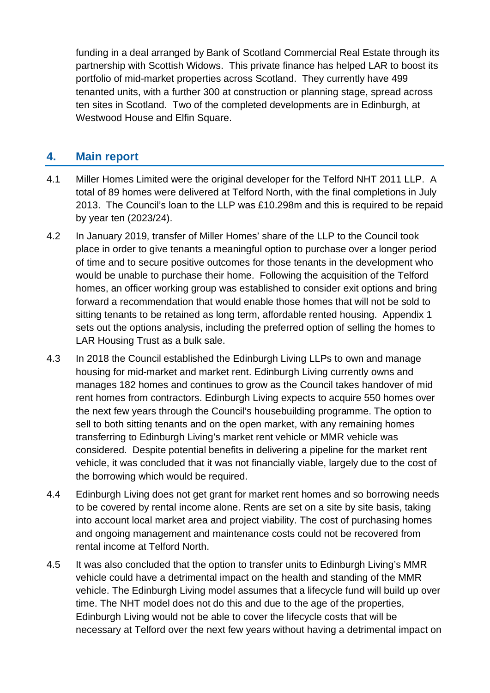funding in a deal arranged by Bank of Scotland Commercial Real Estate through its partnership with Scottish Widows. This private finance has helped LAR to boost its portfolio of mid-market properties across Scotland. They currently have 499 tenanted units, with a further 300 at construction or planning stage, spread across ten sites in Scotland. Two of the completed developments are in Edinburgh, at Westwood House and Elfin Square.

#### **4. Main report**

- 4.1 Miller Homes Limited were the original developer for the Telford NHT 2011 LLP. A total of 89 homes were delivered at Telford North, with the final completions in July 2013. The Council's loan to the LLP was £10.298m and this is required to be repaid by year ten (2023/24).
- 4.2 In January 2019, transfer of Miller Homes' share of the LLP to the Council took place in order to give tenants a meaningful option to purchase over a longer period of time and to secure positive outcomes for those tenants in the development who would be unable to purchase their home. Following the acquisition of the Telford homes, an officer working group was established to consider exit options and bring forward a recommendation that would enable those homes that will not be sold to sitting tenants to be retained as long term, affordable rented housing. Appendix 1 sets out the options analysis, including the preferred option of selling the homes to LAR Housing Trust as a bulk sale.
- 4.3 In 2018 the Council established the Edinburgh Living LLPs to own and manage housing for mid-market and market rent. Edinburgh Living currently owns and manages 182 homes and continues to grow as the Council takes handover of mid rent homes from contractors. Edinburgh Living expects to acquire 550 homes over the next few years through the Council's housebuilding programme. The option to sell to both sitting tenants and on the open market, with any remaining homes transferring to Edinburgh Living's market rent vehicle or MMR vehicle was considered. Despite potential benefits in delivering a pipeline for the market rent vehicle, it was concluded that it was not financially viable, largely due to the cost of the borrowing which would be required.
- 4.4 Edinburgh Living does not get grant for market rent homes and so borrowing needs to be covered by rental income alone. Rents are set on a site by site basis, taking into account local market area and project viability. The cost of purchasing homes and ongoing management and maintenance costs could not be recovered from rental income at Telford North.
- 4.5 It was also concluded that the option to transfer units to Edinburgh Living's MMR vehicle could have a detrimental impact on the health and standing of the MMR vehicle. The Edinburgh Living model assumes that a lifecycle fund will build up over time. The NHT model does not do this and due to the age of the properties, Edinburgh Living would not be able to cover the lifecycle costs that will be necessary at Telford over the next few years without having a detrimental impact on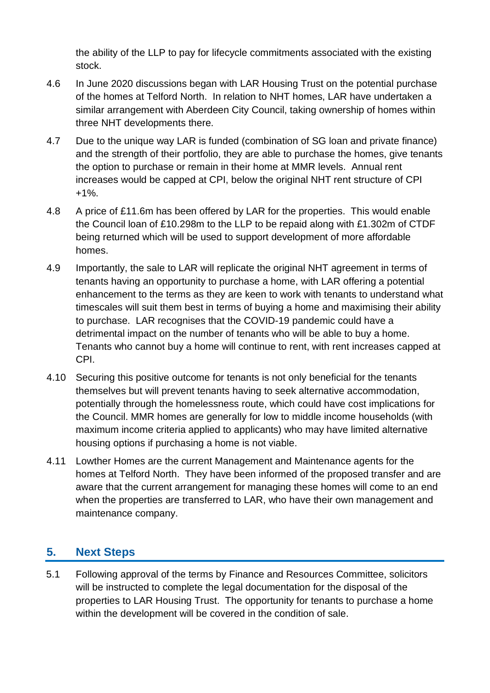the ability of the LLP to pay for lifecycle commitments associated with the existing stock.

- 4.6 In June 2020 discussions began with LAR Housing Trust on the potential purchase of the homes at Telford North. In relation to NHT homes, LAR have undertaken a similar arrangement with Aberdeen City Council, taking ownership of homes within three NHT developments there.
- 4.7 Due to the unique way LAR is funded (combination of SG loan and private finance) and the strength of their portfolio, they are able to purchase the homes, give tenants the option to purchase or remain in their home at MMR levels. Annual rent increases would be capped at CPI, below the original NHT rent structure of CPI +1%.
- 4.8 A price of £11.6m has been offered by LAR for the properties. This would enable the Council loan of £10.298m to the LLP to be repaid along with £1.302m of CTDF being returned which will be used to support development of more affordable homes.
- 4.9 Importantly, the sale to LAR will replicate the original NHT agreement in terms of tenants having an opportunity to purchase a home, with LAR offering a potential enhancement to the terms as they are keen to work with tenants to understand what timescales will suit them best in terms of buying a home and maximising their ability to purchase. LAR recognises that the COVID-19 pandemic could have a detrimental impact on the number of tenants who will be able to buy a home. Tenants who cannot buy a home will continue to rent, with rent increases capped at CPI.
- 4.10 Securing this positive outcome for tenants is not only beneficial for the tenants themselves but will prevent tenants having to seek alternative accommodation, potentially through the homelessness route, which could have cost implications for the Council. MMR homes are generally for low to middle income households (with maximum income criteria applied to applicants) who may have limited alternative housing options if purchasing a home is not viable.
- 4.11 Lowther Homes are the current Management and Maintenance agents for the homes at Telford North. They have been informed of the proposed transfer and are aware that the current arrangement for managing these homes will come to an end when the properties are transferred to LAR, who have their own management and maintenance company.

### **5. Next Steps**

5.1 Following approval of the terms by Finance and Resources Committee, solicitors will be instructed to complete the legal documentation for the disposal of the properties to LAR Housing Trust. The opportunity for tenants to purchase a home within the development will be covered in the condition of sale.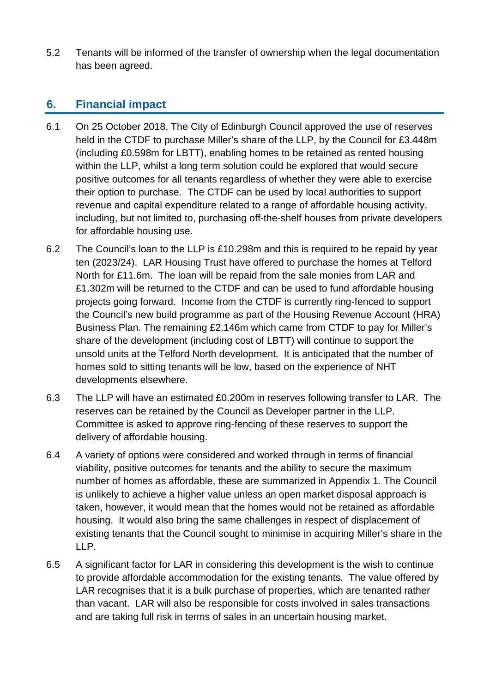5.2 Tenants will be informed of the transfer of ownership when the legal documentation has been agreed.

#### **6. Financial impact**

- 6.1 On 25 October 2018, The City of Edinburgh Council approved the use of reserves held in the CTDF to purchase Miller's share of the LLP, by the Council for £3.448m (including £0.598m for LBTT), enabling homes to be retained as rented housing within the LLP, whilst a long term solution could be explored that would secure positive outcomes for all tenants regardless of whether they were able to exercise their option to purchase. The CTDF can be used by local authorities to support revenue and capital expenditure related to a range of affordable housing activity, including, but not limited to, purchasing off-the-shelf houses from private developers for affordable housing use.
- 6.2 The Council's loan to the LLP is £10.298m and this is required to be repaid by year ten (2023/24). LAR Housing Trust have offered to purchase the homes at Telford North for £11.6m. The loan will be repaid from the sale monies from LAR and £1.302m will be returned to the CTDF and can be used to fund affordable housing projects going forward. Income from the CTDF is currently ring-fenced to support the Council's new build programme as part of the Housing Revenue Account (HRA) Business Plan. The remaining £2.146m which came from CTDF to pay for Miller's share of the development (including cost of LBTT) will continue to support the unsold units at the Telford North development. It is anticipated that the number of homes sold to sitting tenants will be low, based on the experience of NHT developments elsewhere.
- 6.3 The LLP will have an estimated £0.200m in reserves following transfer to LAR. The reserves can be retained by the Council as Developer partner in the LLP. Committee is asked to approve ring-fencing of these reserves to support the delivery of affordable housing.
- 6.4 A variety of options were considered and worked through in terms of financial viability, positive outcomes for tenants and the ability to secure the maximum number of homes as affordable, these are summarized in Appendix 1. The Council is unlikely to achieve a higher value unless an open market disposal approach is taken, however, it would mean that the homes would not be retained as affordable housing. It would also bring the same challenges in respect of displacement of existing tenants that the Council sought to minimise in acquiring Miller's share in the LLP.
- 6.5 A significant factor for LAR in considering this development is the wish to continue to provide affordable accommodation for the existing tenants. The value offered by LAR recognises that it is a bulk purchase of properties, which are tenanted rather than vacant. LAR will also be responsible for costs involved in sales transactions and are taking full risk in terms of sales in an uncertain housing market.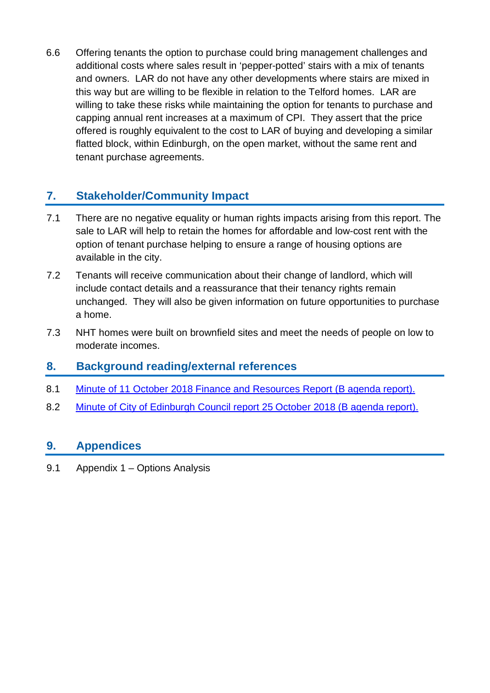6.6 Offering tenants the option to purchase could bring management challenges and additional costs where sales result in 'pepper-potted' stairs with a mix of tenants and owners. LAR do not have any other developments where stairs are mixed in this way but are willing to be flexible in relation to the Telford homes. LAR are willing to take these risks while maintaining the option for tenants to purchase and capping annual rent increases at a maximum of CPI. They assert that the price offered is roughly equivalent to the cost to LAR of buying and developing a similar flatted block, within Edinburgh, on the open market, without the same rent and tenant purchase agreements.

### **7. Stakeholder/Community Impact**

- 7.1 There are no negative equality or human rights impacts arising from this report. The sale to LAR will help to retain the homes for affordable and low-cost rent with the option of tenant purchase helping to ensure a range of housing options are available in the city.
- 7.2 Tenants will receive communication about their change of landlord, which will include contact details and a reassurance that their tenancy rights remain unchanged. They will also be given information on future opportunities to purchase a home.
- 7.3 NHT homes were built on brownfield sites and meet the needs of people on low to moderate incomes.

#### **8. Background reading/external references**

- 8.1 [Minute of 11 October 2018 Finance and Resources Report \(B agenda](https://democracy.edinburgh.gov.uk/Data/Finance%20and%20Resources%20Committee/20181011/Agenda/minute_of_11_october_2018.pdf) report).
- 8.2 [Minute of City of Edinburgh Council report 25 October 2018 \(B agenda](https://democracy.edinburgh.gov.uk/Data/City%20of%20Edinburgh%20Council/20181122/Agenda/item_41_-_minute_of_25_october_2018.pdf) report).

#### **9. Appendices**

9.1 Appendix 1 – Options Analysis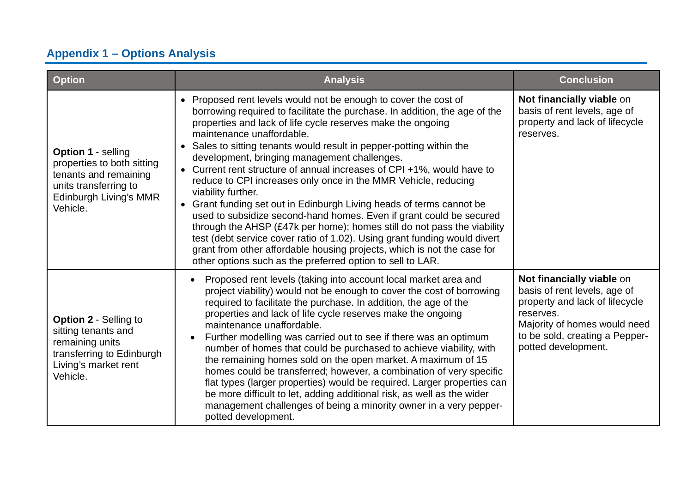# **Appendix 1 – Options Analysis**

| <b>Option</b>                                                                                                                            | <b>Analysis</b>                                                                                                                                                                                                                                                                                                                                                                                                                                                                                                                                                                                                                                                                                                                                                                                                                                                                                                                                                                            | <b>Conclusion</b>                                                                                                                                                                                 |
|------------------------------------------------------------------------------------------------------------------------------------------|--------------------------------------------------------------------------------------------------------------------------------------------------------------------------------------------------------------------------------------------------------------------------------------------------------------------------------------------------------------------------------------------------------------------------------------------------------------------------------------------------------------------------------------------------------------------------------------------------------------------------------------------------------------------------------------------------------------------------------------------------------------------------------------------------------------------------------------------------------------------------------------------------------------------------------------------------------------------------------------------|---------------------------------------------------------------------------------------------------------------------------------------------------------------------------------------------------|
| Option 1 - selling<br>properties to both sitting<br>tenants and remaining<br>units transferring to<br>Edinburgh Living's MMR<br>Vehicle. | • Proposed rent levels would not be enough to cover the cost of<br>borrowing required to facilitate the purchase. In addition, the age of the<br>properties and lack of life cycle reserves make the ongoing<br>maintenance unaffordable.<br>Sales to sitting tenants would result in pepper-potting within the<br>development, bringing management challenges.<br>Current rent structure of annual increases of CPI +1%, would have to<br>$\bullet$<br>reduce to CPI increases only once in the MMR Vehicle, reducing<br>viability further.<br>Grant funding set out in Edinburgh Living heads of terms cannot be<br>used to subsidize second-hand homes. Even if grant could be secured<br>through the AHSP (£47k per home); homes still do not pass the viability<br>test (debt service cover ratio of 1.02). Using grant funding would divert<br>grant from other affordable housing projects, which is not the case for<br>other options such as the preferred option to sell to LAR. | Not financially viable on<br>basis of rent levels, age of<br>property and lack of lifecycle<br>reserves.                                                                                          |
| <b>Option 2 - Selling to</b><br>sitting tenants and<br>remaining units<br>transferring to Edinburgh<br>Living's market rent<br>Vehicle.  | Proposed rent levels (taking into account local market area and<br>project viability) would not be enough to cover the cost of borrowing<br>required to facilitate the purchase. In addition, the age of the<br>properties and lack of life cycle reserves make the ongoing<br>maintenance unaffordable.<br>Further modelling was carried out to see if there was an optimum<br>number of homes that could be purchased to achieve viability, with<br>the remaining homes sold on the open market. A maximum of 15<br>homes could be transferred; however, a combination of very specific<br>flat types (larger properties) would be required. Larger properties can<br>be more difficult to let, adding additional risk, as well as the wider<br>management challenges of being a minority owner in a very pepper-<br>potted development.                                                                                                                                                 | Not financially viable on<br>basis of rent levels, age of<br>property and lack of lifecycle<br>reserves.<br>Majority of homes would need<br>to be sold, creating a Pepper-<br>potted development. |